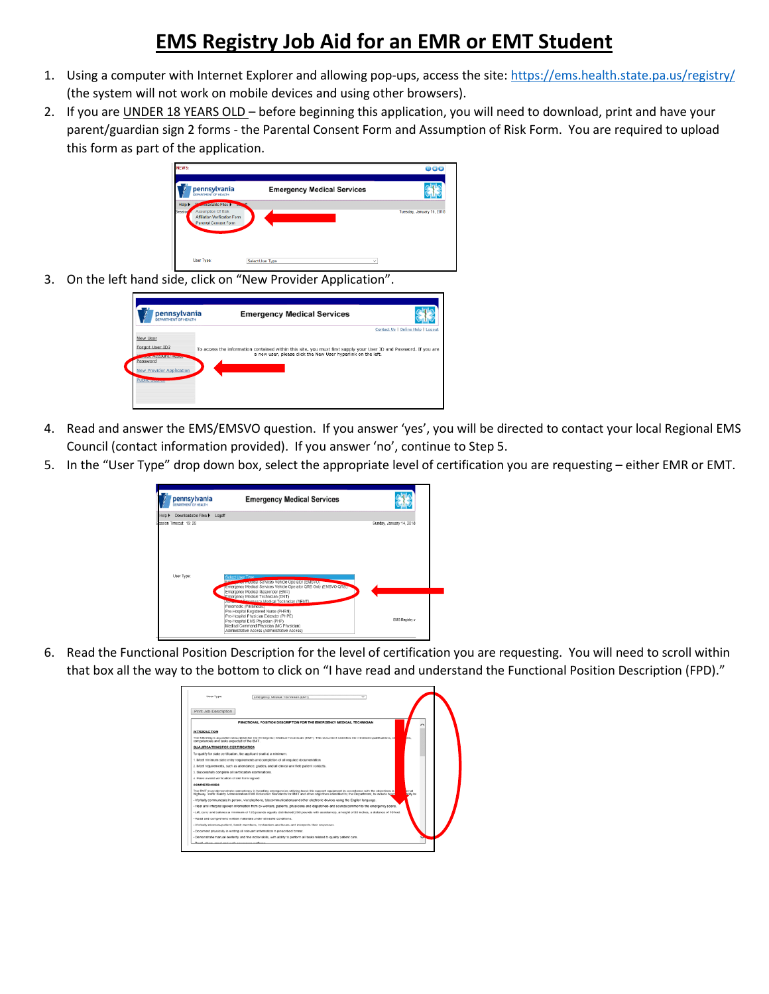## **EMS Registry Job Aid for an EMR or EMT Student**

- 1. Using a computer with Internet Explorer and allowing pop-ups, access the site[: https://ems.health.state.pa.us/registry/](https://ems.health.state.pa.us/registry/) (the system will not work on mobile devices and using other browsers).
- 2. If you are UNDER 18 YEARS OLD before beginning this application, you will need to download, print and have your parent/guardian sign 2 forms - the Parental Consent Form and Assumption of Risk Form. You are required to upload this form as part of the application.



3. On the left hand side, click on "New Provider Application".

| <b>DEPARTMENT OF HEALTH</b>                                                                                                      | <b>Emergency Medical Services</b>                                                                                                                                                 | Contact Us   Online Help   Logout |
|----------------------------------------------------------------------------------------------------------------------------------|-----------------------------------------------------------------------------------------------------------------------------------------------------------------------------------|-----------------------------------|
| New User<br>Forgot User ID?<br><b>CONTRACTOR INTERNATIONAL</b><br>Password<br><b>New Provider Application</b><br>Pilling Company | To access the information contained within this site, you must first supply your User ID and Password. If you are<br>a new user, please click the New User hyperlink on the left. |                                   |

- 4. Read and answer the EMS/EMSVO question. If you answer 'yes', you will be directed to contact your local Regional EMS Council (contact information provided). If you answer 'no', continue to Step 5.
- 5. In the "User Type" drop down box, select the appropriate level of certification you are requesting either EMR or EMT.



6. Read the Functional Position Description for the level of certification you are requesting. You will need to scroll within that box all the way to the bottom to click on "I have read and understand the Functional Position Description (FPD)."

| Liser Type:                                              | Emergency Medical Technician (EMT)<br>$\overline{\phantom{a}}$                                                                                                                                                                                                                                                               |  |
|----------------------------------------------------------|------------------------------------------------------------------------------------------------------------------------------------------------------------------------------------------------------------------------------------------------------------------------------------------------------------------------------|--|
| Print Job Description                                    |                                                                                                                                                                                                                                                                                                                              |  |
|                                                          | FUNCTIONAL POSITION DESCRIPTION FOR THE EMERGENCY MEDICAL TECHNICIAN                                                                                                                                                                                                                                                         |  |
| <b>INTRODUCTION</b>                                      |                                                                                                                                                                                                                                                                                                                              |  |
| competencies and baks expected of the FMT                | The following is a position description for the Emergency Medical Technician (EMT). This document identifies the minimum qualifications, ex-<br><b>TITLE</b>                                                                                                                                                                 |  |
| QUALIFICATIONS FOR CERTIFICATION                         |                                                                                                                                                                                                                                                                                                                              |  |
|                                                          | To qualify for state certification, the applicant shall at a minimum:                                                                                                                                                                                                                                                        |  |
|                                                          | 1. Most minimum state entry requirements and completion of all required documentation.                                                                                                                                                                                                                                       |  |
|                                                          | 2. Most requirements, such as allendance, crades, and all clinical and field patient contacts.                                                                                                                                                                                                                               |  |
| 3. Successfully complete all certification examinations. |                                                                                                                                                                                                                                                                                                                              |  |
| 4. Have a valid verification of skill form signed.       |                                                                                                                                                                                                                                                                                                                              |  |
| <b>COMPETENCIES</b>                                      |                                                                                                                                                                                                                                                                                                                              |  |
|                                                          | The EMT must demonstrate correctional in handling emergencies stillated basic life support equipment in accordance with the objectives in<br><b>Concept</b><br>Hichway Traffic Safety Administration EMS Education Standards for EMT and other objectives identified by the Decartment, to include havin<br><b>Altra for</b> |  |
|                                                          | - Viribally communicate in person, via triephone, triecommunications and other electronic devices using the English language.                                                                                                                                                                                                |  |
|                                                          | - Hear and interceet spoken information from co-workers, patients, physicians and dispatichers and sounds common to the emergency scene.                                                                                                                                                                                     |  |
|                                                          | - Lift, carry and balance a minimum of 125 pounds equally distributed (250 pounds with assistance), a height of 33 incluse, a distance of 10 feet.                                                                                                                                                                           |  |
|                                                          | · Read and comprehend written materials under stressful conditions.                                                                                                                                                                                                                                                          |  |
|                                                          | · Verbally interview patient, family members, by-danders and hours and interprets their responses.                                                                                                                                                                                                                           |  |
|                                                          | - Occurrent physically in writing all relevant information in prescribed format.                                                                                                                                                                                                                                             |  |
|                                                          | - Demonstrate manual devienty and fine motor skills, with ability to perform all tasks related to quality patient care.                                                                                                                                                                                                      |  |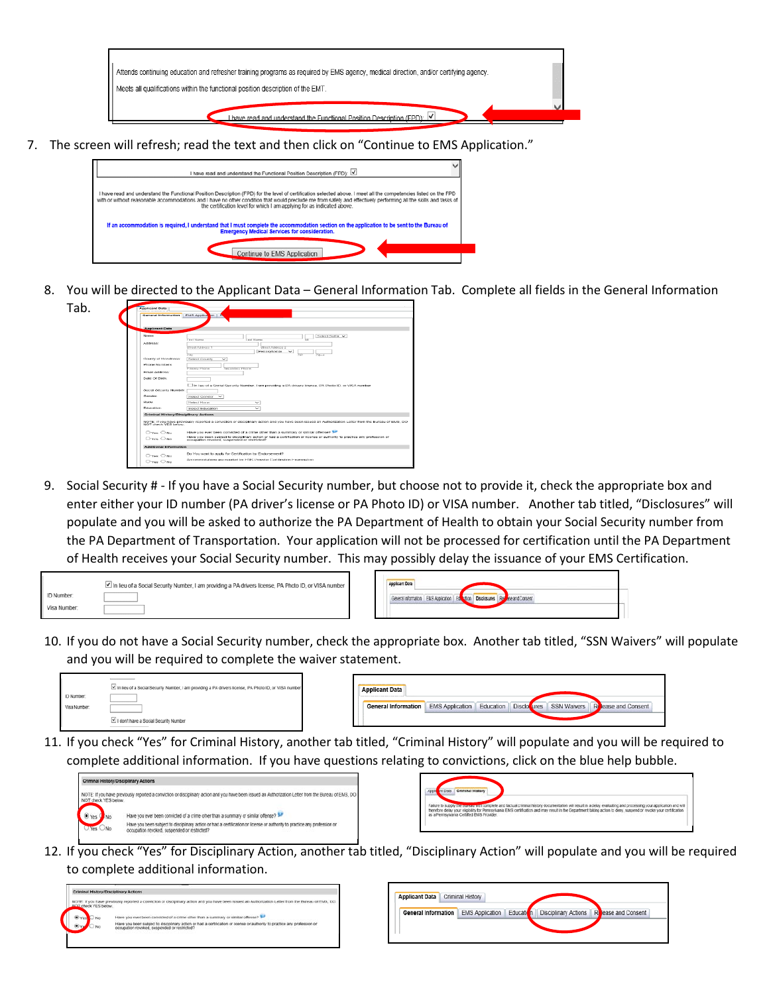

7. The screen will refresh; read the text and then click on "Continue to EMS Application."

| I have read and understand the Functional Position Description (FPD): V                                                                                                                                                                                                                                                                                                                                           |
|-------------------------------------------------------------------------------------------------------------------------------------------------------------------------------------------------------------------------------------------------------------------------------------------------------------------------------------------------------------------------------------------------------------------|
| I have read and understand the Functional Position Description (FPD) for the level of certification selected above. I meet all the competencies listed on the FPD<br>with or without reasonable accommodations and I have no other condition that would preclude me from safely and effectively performing all the skills and tasks of<br>the certification level for which I am applying for as indicated above. |
| If an accommodation is required, I understand that I must complete the accommodation section on the application to be sent to the Bureau of<br><b>Emergency Medical Services for consideration.</b>                                                                                                                                                                                                               |
| Continue to EMS Application                                                                                                                                                                                                                                                                                                                                                                                       |

8. You will be directed to the Applicant Data – General Information Tab. Complete all fields in the General Information



9. Social Security # - If you have a Social Security number, but choose not to provide it, check the appropriate box and enter either your ID number (PA driver's license or PA Photo ID) or VISA number. Another tab titled, "Disclosures" will populate and you will be asked to authorize the PA Department of Health to obtain your Social Security number from the PA Department of Transportation. Your application will not be processed for certification until the PA Department of Health receives your Social Security number. This may possibly delay the issuance of your EMS Certification.

|              | In lieu of a Social Security Number, I am providing a PA drivers license, PA Photo ID, or VISA number |
|--------------|-------------------------------------------------------------------------------------------------------|
| ID Number:   |                                                                                                       |
| Visa Number: |                                                                                                       |



10. If you do not have a Social Security number, check the appropriate box. Another tab titled, "SSN Waivers" will populate and you will be required to complete the waiver statement.



| <b>Applicant Data</b> |  |  |                                                                                                          |
|-----------------------|--|--|----------------------------------------------------------------------------------------------------------|
|                       |  |  | <b>General Information</b> EMS Application   Education   Disclotures   SSN Waivers   Release and Consent |
|                       |  |  |                                                                                                          |

11. If you check "Yes" for Criminal History, another tab titled, "Criminal History" will populate and you will be required to complete additional information. If you have questions relating to convictions, click on the blue help bubble.





12. If you check "Yes" for Disciplinary Action, another tab titled, "Disciplinary Action" will populate and you will be required to complete additional information.



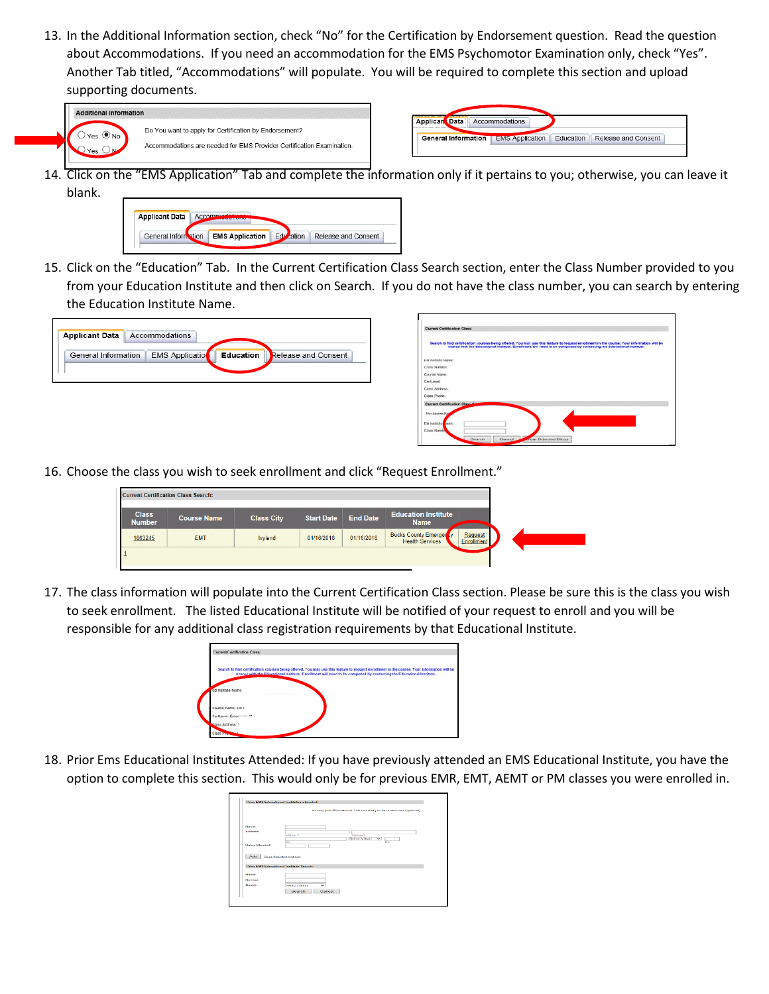13. In the Additional Information section, check "No" for the Certification by Endorsement question. Read the question about Accommodations. If you need an accommodation for the EMS Psychomotor Examination only, check "Yes". Another Tab titled, "Accommodations" will populate. You will be required to complete this section and upload supporting documents.

| Do You want to apply for Certification by Endorsement?<br>Yes ONO<br>Accommodations are needed for EMS Provider Certification Examination<br>es. |  |
|--------------------------------------------------------------------------------------------------------------------------------------------------|--|
|                                                                                                                                                  |  |



Applicar Data Accommodations

14. Click on the "EMS Application" Tab and complete the information only if it pertains to you; otherwise, you can leave it blank.



15. Click on the "Education" Tab. In the Current Certification Class Search section, enter the Class Number provided to you from your Education Institute and then click on Search. If you do not have the class number, you can search by entering the Education Institute Name.

| <b>Applicant Data</b> | Accommodations         |           |                     |
|-----------------------|------------------------|-----------|---------------------|
| General Information   | <b>EMS Application</b> | Education | Release and Consent |
|                       |                        |           |                     |

| <b>Current Certification Class:</b> |                                                                                                                                                                                                                                                                   |  |
|-------------------------------------|-------------------------------------------------------------------------------------------------------------------------------------------------------------------------------------------------------------------------------------------------------------------|--|
|                                     | Search to find certification courses being offered. You may use this feature to request enrolment in the course. Your information will be<br>shared with the Educational Institute. Enrollment will need to be completed by contacting the Educational Institute. |  |
| Ed installe Name:                   |                                                                                                                                                                                                                                                                   |  |
| Close Number                        |                                                                                                                                                                                                                                                                   |  |
| Course Name                         |                                                                                                                                                                                                                                                                   |  |
| Carl and                            |                                                                                                                                                                                                                                                                   |  |
| Class A19 ess:                      |                                                                                                                                                                                                                                                                   |  |
| Class Phone:                        |                                                                                                                                                                                                                                                                   |  |
| Current Certification Class         |                                                                                                                                                                                                                                                                   |  |
| No classes for                      |                                                                                                                                                                                                                                                                   |  |
| Ed Institute when                   |                                                                                                                                                                                                                                                                   |  |
| Class North                         |                                                                                                                                                                                                                                                                   |  |

16. Choose the class you wish to seek enrollment and click "Request Enrollment."

|                               | <b>Current Certification Class Search:</b> |                   |                   |                 |                                                          |                              |
|-------------------------------|--------------------------------------------|-------------------|-------------------|-----------------|----------------------------------------------------------|------------------------------|
| <b>Class</b><br><b>Number</b> | <b>Course Name</b>                         | <b>Class City</b> | <b>Start Date</b> | <b>End Date</b> | <b>Education Institute</b><br><b>Name</b>                |                              |
| 1863245                       | <b>EMT</b>                                 | <b>Ivyland</b>    | 01/16/2018        | 01/16/2018      | <b>Bucks County Emerger</b> by<br><b>Health Services</b> | Request<br><b>Enrollment</b> |
|                               |                                            |                   |                   |                 |                                                          |                              |

17. The class information will populate into the Current Certification Class section. Please be sure this is the class you wish to seek enrollment. The listed Educational Institute will be notified of your request to enroll and you will be responsible for any additional class registration requirements by that Educational Institute.



18. Prior Ems Educational Institutes Attended: If you have previously attended an EMS Educational Institute, you have the option to complete this section. This would only be for previous EMR, EMT, AEMT or PM classes you were enrolled in.

|                        | List any prior Educational Institutes that you have attended (optional) |
|------------------------|-------------------------------------------------------------------------|
| <b>Countras.</b>       |                                                                         |
| Address:               | Address 2<br><b>Actional</b><br>Select A State<br>▿<br><b>STO</b><br>bw |
| Chaters Atternted      |                                                                         |
|                        |                                                                         |
| Add                    | Choe, Sylveted Institute<br>Print EMS Educational Institute Search:     |
|                        |                                                                         |
| <b>Name:</b><br>Number |                                                                         |
| <b>County:</b>         | v<br><b>Bolora County</b>                                               |